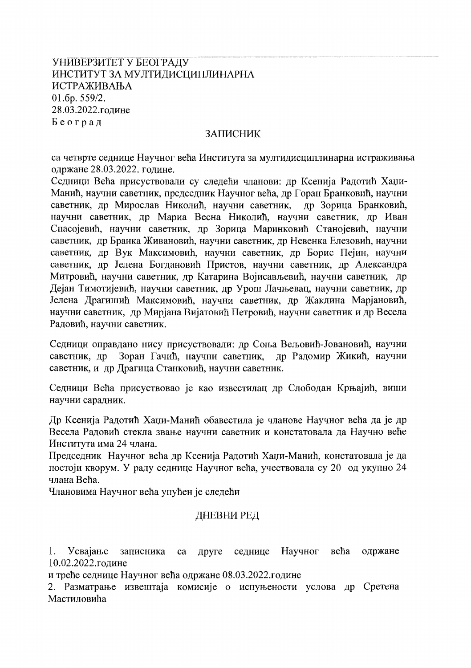# УНИВЕРЗИТЕТ У БЕОГРАДУ ИНСТИТУТ ЗА МУЛТИДИСЦИПЛИНАРНА ИСТРАЖИВАЊА 01.6p. 559/2. 28.03.2022.године Београд

#### ЗАПИСНИК

са четврте седнице Научног већа Института за мултидисциплинарна истраживања одржане 28.03.2022. године.

Седници Већа присуствовали су следећи чланови: др Ксенија Радотић Хаџи-Манић, научни саветник, председник Научног већа, др Горан Бранковић, научни саветник, др Мирослав Николић, научни саветник, др Зорица Бранковић, научни саветник, др Мариа Весна Николић, научни саветник, др Иван Спасојевић, научни саветник, др Зорица Маринковић Станојевић, научни саветник, др Бранка Живановић, научни саветник, др Невенка Елезовић, научни саветник, др Вук Максимовић, научни саветник, др Борис Пејин, научни саветник, др Јелена Богдановић Пристов, научни саветник, др Александра Митровић, научни саветник, др Катарина Војисављевић, научни саветник, др Дејан Тимотијевић, научни саветник, др Урош Лачњевац, научни саветник, др Јелена Драгишић Максимовић, научни саветник, др Жаклина Марјановић, научни саветник, др Мирјана Вијатовић Петровић, научни саветник и др Весела Радовић, научни саветник.

Седници оправдано нису присуствовали: др Соња Вељовић-Јовановић, научни Зоран Гачић, научни саветник, саветник, др др Радомир Жикић, научни саветник, и др Драгица Станковић, научни саветник.

Седници Већа присуствовао је као известилац др Слободан Крњајић, виши научни сарадник.

Др Ксенија Радотић Хаџи-Манић обавестила је чланове Научног већа да је др Весела Радовић стекла звање научни саветник и констатовала да Научно веће Института има 24 члана.

Председник Научног већа др Ксенија Радотић Хаџи-Манић, констатовала је да постоји кворум. У раду седнице Научног већа, учествовала су 20 од укупно 24 члана Већа.

Члановима Научног већа упућен је следећи

### ДНЕВНИ РЕД

Усвајање записника Научног већа одржане 1. ca друге седнице 10.02.2022.године

и треће седнице Научног већа одржане 08.03.2022.године

2. Разматрање извештаја комисије о испуњености услова др Сретена Мастиловића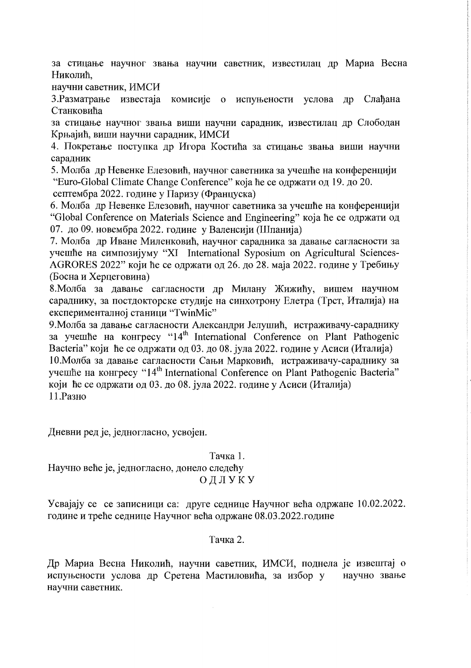за стицање научног звања научни саветник, известилац др Мариа Весна Николић,

научни саветник. ИМСИ

3. Разматрање известаја комисије о испуњености услова др Слаћана Станковића

за стицање научног звања виши научни сарадник, известилац др Слободан Крњајић, виши научни сарадник, ИМСИ

4. Покретање поступка др Игора Костића за стицање звања виши научни сарадник

5. Молба др Невенке Елезовић, научног саветника за учешће на конференцији "Euro-Global Climate Change Conference" која ће се одржати од 19. до 20.

септембра 2022. године у Паризу (Француска)

6. Молба др Невенке Елезовић, научног саветника за учешће на конференцији "Global Conference on Materials Science and Engineering" која ће се одржати од 07. до 09. новембра 2022. године у Валенсији (Шпанија)

7. Молба др Иване Миленковић, научног сарадника за давање сагласности за учешће на симпозијуму "XI International Syposium on Agricultural Sciences-AGRORES 2022" који ће се одржати од 26. до 28. маја 2022. године у Требињу (Босна и Херцеговина)

8. Молба за давање сагласности др Милану Жижићу, вишем научном сараднику, за постдокторске студије на синхотрону Елетра (Трст, Италија) на експерименталној станици "TwinMic"

9. Молба за давање сагласности Александри Јелушић, истраживачу-сараднику за учешће на конгресу "14<sup>th</sup> International Conference on Plant Pathogenic Bacteria" који ће се одржати од 03. до 08. јула 2022. године у Асиси (Италија) 10. Молба за давање сагласности Сањи Марковић, истраживачу-сараднику за yчешће на конгресу "14<sup>th</sup> International Conference on Plant Pathogenic Bacteria" који ће се одржати од 03. до 08. јула 2022. године у Асиси (Италија) 11. Разно

Дневни ред је, једногласно, усвојен.

Тачка 1. Научно веће је, једногласно, донело следећу

# ОДЛУКУ

Усвајају се се записници са: друге седнице Научног већа одржане 10.02.2022. године и треће седнице Научног већа одржане 08.03.2022.године

Тачка 2.

Др Мариа Весна Николић, научни саветник, ИМСИ, поднела је извештај о испуњености услова др Сретена Мастиловића, за избор у научно звање научни саветник.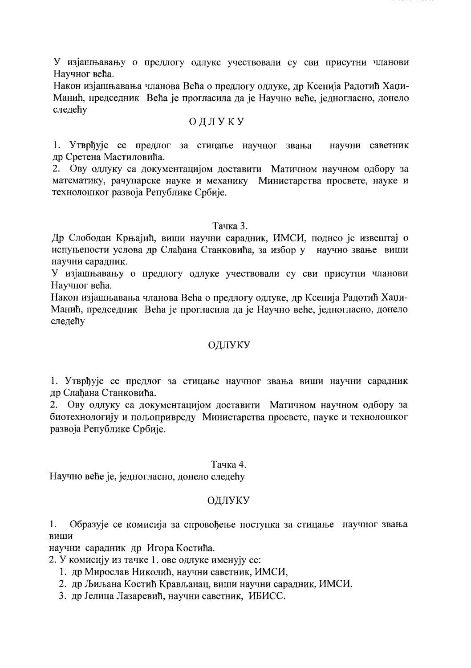У изјашњавању о предлогу одлуке учествовали су сви присутни чланови Научног већа.

Након изјашњавања чланова Већа о предлогу одлуке, др Ксенија Радотић Хаџи-Манић, председник Већа је прогласила да је Научно веће, једногласно, донело следећу

### ОДЛУКУ

1. Утврђује се предлог за стицање научног звања научни саветник др Сретена Мастиловића.

2. Ову одлуку са документацијом доставити Матичном научном одбору за математику, рачунарске науке и механику Министарства просвете, науке и технолошког развоја Републике Србије.

### Тачка 3.

Др Слободан Крњајић, виши научни сарадник, ИМСИ, поднео је извештај о испуњености услова др Слађана Станковића, за избор у научно звање виши научни сарадник.

У изјашњавању о предлогу одлуке учествовали су сви присутни чланови Научног већа.

Након изјашњавања чланова Већа о предлогу одлуке, др Ксенија Радотић Хаџи-Манић, председник Већа је прогласила да је Научно веће, једногласно, донело следећу

## ОДЛУКУ

1. Утврђује се предлог за стицање научног звања виши научни сарадник др Слађана Станковића.

2. Ову одлуку са документацијом доставити Матичном научном одбору за биотехнологију и пољопривреду Министарства просвете, науке и технолошког развоја Републике Србије.

### Тачка 4.

Научно веће је, једногласно, донело следећу

### ОДЛУКУ

1. Образује се комисија за спровођење поступка за стицање научног звања виши

научни сарадник др Игора Костића.

2. У комисију из тачке 1. ове одлуке именују се:

- 1. др Мирослав Николић, научни саветник, ИМСИ,
- 2. др Љиљана Костић Крављанац, виши научни сарадник, ИМСИ,
- 3. др Јелица Лазаревић, научни саветник, ИБИСС.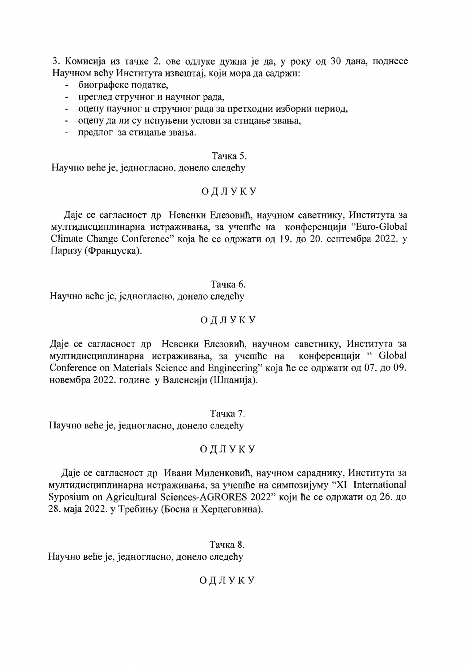3. Комисија из тачке 2. ове одлуке дужна је да, у року од 30 дана, поднесе Научном већу Института извештај, који мора да садржи:

- биографске податке,
- преглед стручног и научног рада.
- оцену научног и стручног рада за претходни изборни период.
- оцену да ли су испуњени услови за стицање звања,
- предлог за стицање звања.

### Тачка 5.

Научно веће је, једногласно, донело следећу

## ОДЛУКУ

Даје се сагласност др Невенки Елезовић, научном саветнику, Института за мултидисциплинарна истраживања, за учешће на конференцији "Euro-Global Climate Change Conference" која ће се одржати од 19. до 20. септембра 2022. у Паризу (Француска).

#### Тачка 6.

Научно веће је, једногласно, донело следећу

### ОДЛУКУ

Даје се сагласност др Невенки Елезовић, научном саветнику, Института за мултидисциплинарна истраживања, за учешће на конференцији "Global Conference on Materials Science and Engineering" која ће се одржати од 07. до 09. новембра 2022. године у Валенсији (Шпанија).

### Тачка 7.

Научно веће је, једногласно, донело следећу

## ОДЛУКУ

### Даје се сагласност др Ивани Миленковић, научном сараднику, Института за мултидисциплинарна истраживања, за учешће на симпозијуму "XI International Syposium on Agricultural Sciences-AGRORES 2022" који ће се одржати од 26. до 28. маја 2022. у Требињу (Босна и Херцеговина).

Тачка 8. Научно веће је, једногласно, донело следећу

ОДЛУКУ